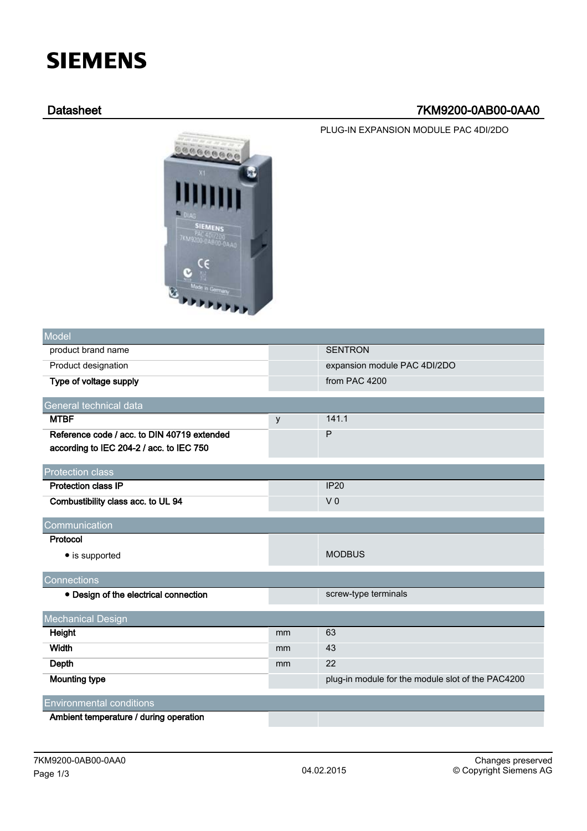# **SIEMENS**

## Datasheet 7KM9200-0AB00-0AA0

PLUG-IN EXPANSION MODULE PAC 4DI/2DO



| Model                                       |    |                                                   |  |
|---------------------------------------------|----|---------------------------------------------------|--|
| product brand name                          |    | <b>SENTRON</b>                                    |  |
| Product designation                         |    | expansion module PAC 4DI/2DO                      |  |
| Type of voltage supply                      |    | from PAC 4200                                     |  |
| General technical data                      |    |                                                   |  |
| <b>MTBF</b>                                 | У  | 141.1                                             |  |
| Reference code / acc. to DIN 40719 extended |    | P                                                 |  |
| according to IEC 204-2 / acc. to IEC 750    |    |                                                   |  |
| <b>Protection class</b>                     |    |                                                   |  |
| <b>Protection class IP</b>                  |    | <b>IP20</b>                                       |  |
| Combustibility class acc. to UL 94          |    | V <sub>0</sub>                                    |  |
| Communication                               |    |                                                   |  |
| Protocol                                    |    |                                                   |  |
| • is supported                              |    | <b>MODBUS</b>                                     |  |
|                                             |    |                                                   |  |
| Connections                                 |    |                                                   |  |
| • Design of the electrical connection       |    | screw-type terminals                              |  |
| <b>Mechanical Design</b>                    |    |                                                   |  |
| Height                                      | mm | 63                                                |  |
| Width                                       | mm | 43                                                |  |
| Depth                                       | mm | 22                                                |  |
| <b>Mounting type</b>                        |    | plug-in module for the module slot of the PAC4200 |  |
| <b>Environmental conditions</b>             |    |                                                   |  |
| Ambiont tomporature / during operation      |    |                                                   |  |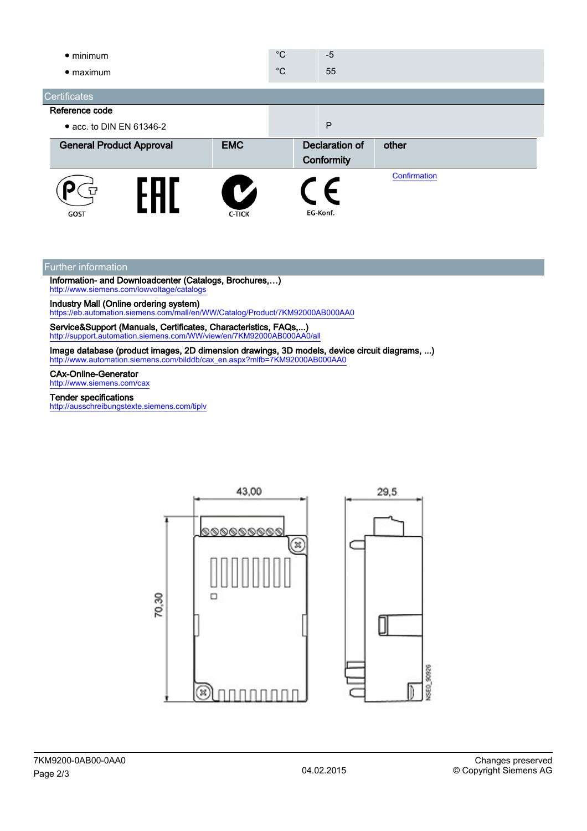| $\bullet$ minimum<br>$\bullet$ maximum |                                 |               | $^{\circ}C$<br>$^{\circ}C$   | $-5$<br>55   |              |  |
|----------------------------------------|---------------------------------|---------------|------------------------------|--------------|--------------|--|
| <b>Certificates</b>                    |                                 |               |                              |              |              |  |
| Reference code                         |                                 |               |                              |              |              |  |
|                                        | • acc. to DIN EN 61346-2        |               |                              | $\mathsf{P}$ |              |  |
|                                        | <b>General Product Approval</b> | <b>EMC</b>    | Declaration of<br>Conformity |              | other        |  |
| GOST                                   |                                 | <b>C-TICK</b> |                              | EG-Konf.     | Confirmation |  |

#### Further information

Information- and Downloadcenter (Catalogs, Brochures,…) <http://www.siemens.com/lowvoltage/catalogs>

Industry Mall (Online ordering system)

<https://eb.automation.siemens.com/mall/en/WW/Catalog/Product/7KM92000AB000AA0>

Service&Support (Manuals, Certificates, Characteristics, FAQs,...) <http://support.automation.siemens.com/WW/view/en/7KM92000AB000AA0/all>

Image database (product images, 2D dimension drawings, 3D models, device circuit diagrams, ...) [http://www.automation.siemens.com/bilddb/cax\\_en.aspx?mlfb=7KM92000AB000AA0](http://www.automation.siemens.com/bilddb/cax_en.aspx?mlfb=7KM92000AB000AA0)

#### CAx-Online-Generator

<http://www.siemens.com/cax>

### Tender specifications

<http://ausschreibungstexte.siemens.com/tiplv>